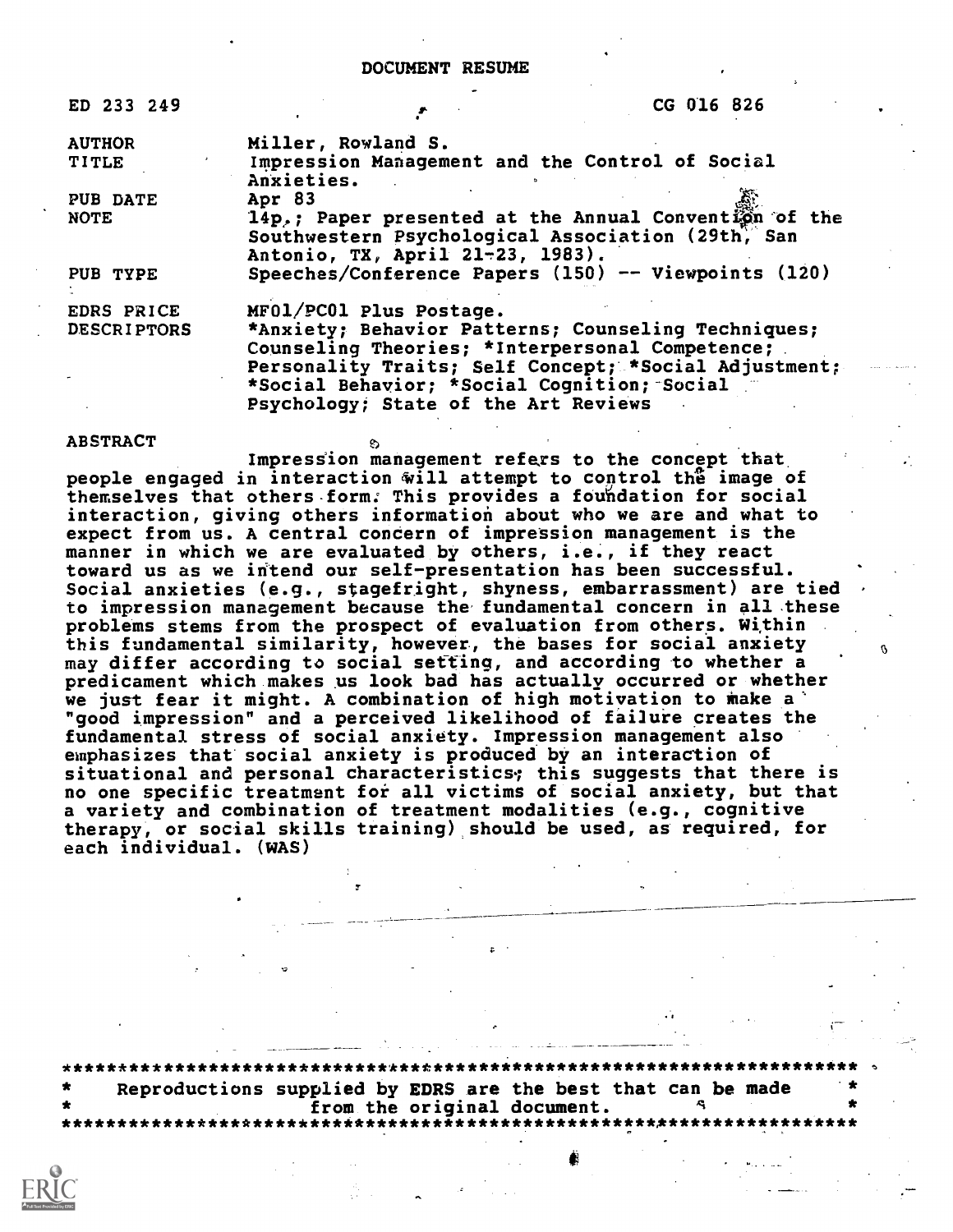DOCUMENT RESUME

| ED 233 249         |                                                                                                                                                | CG 016 826                                            |  |
|--------------------|------------------------------------------------------------------------------------------------------------------------------------------------|-------------------------------------------------------|--|
| <b>AUTHOR</b>      | Miller, Rowland S.                                                                                                                             |                                                       |  |
| <b>TITLE</b>       | Impression Management and the Control of Social<br>Anxieties.                                                                                  |                                                       |  |
| PUB DATE           | Apr 83                                                                                                                                         |                                                       |  |
| <b>NOTE</b>        | 14p.; Paper presented at the Annual Convention of the<br>Southwestern Psychological Association (29th, San<br>Antonio, TX, April 21-23, 1983). |                                                       |  |
| PUB TYPE           | Speeches/Conference Papers (150) -- Viewpoints (120)                                                                                           |                                                       |  |
| EDRS PRICE         | MF01/PC01 Plus Postage.                                                                                                                        |                                                       |  |
| <b>DESCRIPTORS</b> | *Anxiety; Behavior Patterns; Counseling Techniques;                                                                                            |                                                       |  |
|                    | Counseling Theories; *Interpersonal Competence;                                                                                                |                                                       |  |
|                    | *Social Behavior; *Social Cognition; Social                                                                                                    | Personality Traits; Self Concept; *Social Adjustment; |  |
|                    | Psychology; State of the Art Reviews                                                                                                           |                                                       |  |

#### ABSTRACT

Impression management refers to the concept that people engaged in interaction will attempt to control the image of themselves that others form. This provides a foundation for social interaction, giving others information about who we are and what to expect from us. A central concern of impression management is the manner in which we are evaluated by others, i.e., if they react toward us as we intend our self-presentation has been successful. Social anxieties (e.g., stagefright, shyness, embarrassment) are tied to impression management because the' fundamental concern in all .these problems stems from the prospect of evaluation from others. Within this fundamental similarity, however, the bases for social anxiety may differ according to social setting, and according to whether a predicament which makes us look bad has actually occurred or whether we just fear it might. A combination of high motivation to make a "good impression" and a perceived likelihood of failure creates the fundamental stress of social anxiety. Impression management also emphasizes that social anxiety is produced by an interaction of situational and personal characteristics; this suggests that there is no one specific treatment for all victims of social anxiety, but that a variety and combination of treatment modalities (e.g., cognitive therapy, or social skills training) should be used, as required, for each individual. (WAS)

ster i de la construcción de la construcción de la construcción de la construcción de la construcción de la co<br>Del construcción de la construcción de la construcción de la construcción de la construcción de la construcció

\*\*\*\*\*\*\*\*\*\*\*\*\*\*\*\*\*\*\*\*\*\*\*\*\*\*\*\*\*\*\*\*\*\*\*\*\*\*\*\*\*\*\*\*\*\*\*\*\*\*\*\*\*\*\*\*\*\*\*\*\*\*\*\*\*\*\*\*\*\*\* t Reproductions supplied by EDRS are the best that can be made<br>from the original document. from the original document. \*\*\*\*\*\*\*\*\*\*\*\*\*\*\*\*\*\*\*\*\*\*\*\*\*\*\*\*\*\*\*\*\*\*\*\*\*\*\*\*\*\*\*\*\*\*\*\*\*\*\*\*\*\*\*\*\*\*\*\*\*\*\*\*\*\*\*\*\*\*\*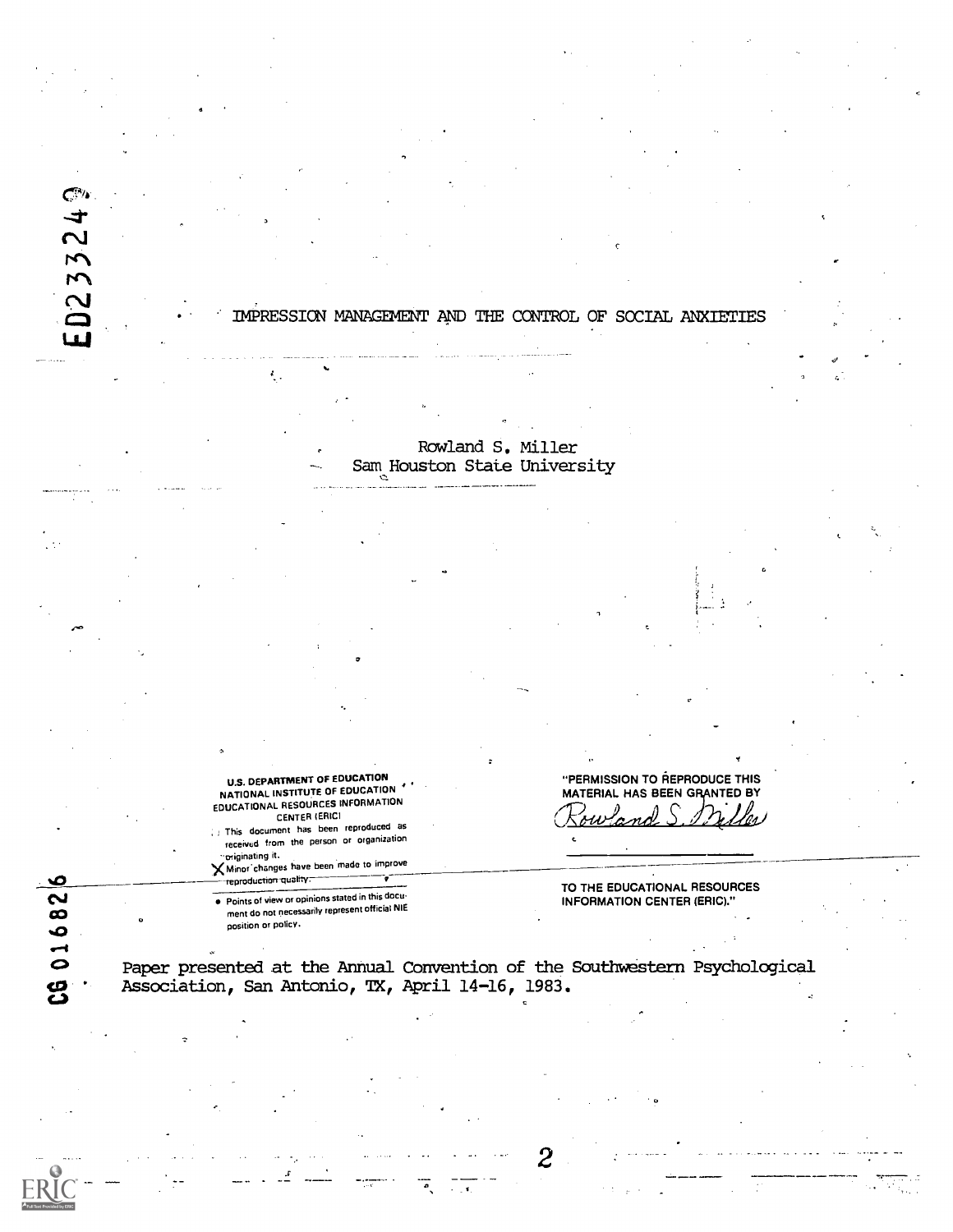$\sim$   $\sim$   $\sim$ PeN  $\mathbf{v}$ IMPRESSION MANAGEMENT AND THE CONTROL OF SOCIAL ANXIETIES LU  $\mathcal{L}_{\mathcal{L},\mathcal{L}}$ Rowland S. Miller Sam Houston State University  $\sigma$  and  $\sigma$ U.S. DEPARTMENT OF EDUCATION "PERMISSION TO REPRODUCE THIS NATIONAL INSTITUTE OF EDUCATION MATERIAL HAS BEEN GRANTED BY EDUCATIONAL RESOURCES INFORMATION **CENTER (ERICI** , This document has been reproduced as received from the person or organization ™<del>or</del>iginating it.<br>❤ Minor`changes have been made to improve reproduction quality. CG 016826 TO THE EDUCATIONAL RESOURCES<br>• Points of view or opinions stated in this docu-<br>• Points of view or opinions stated in this document do not necessarily represent official NIE<br>position or policy.  $\bullet$  position or policy. 4) Paper presented at the Annual Convention of the Southwestern Psychological Association, San Antonio, TX, April 14-16, 1983.

2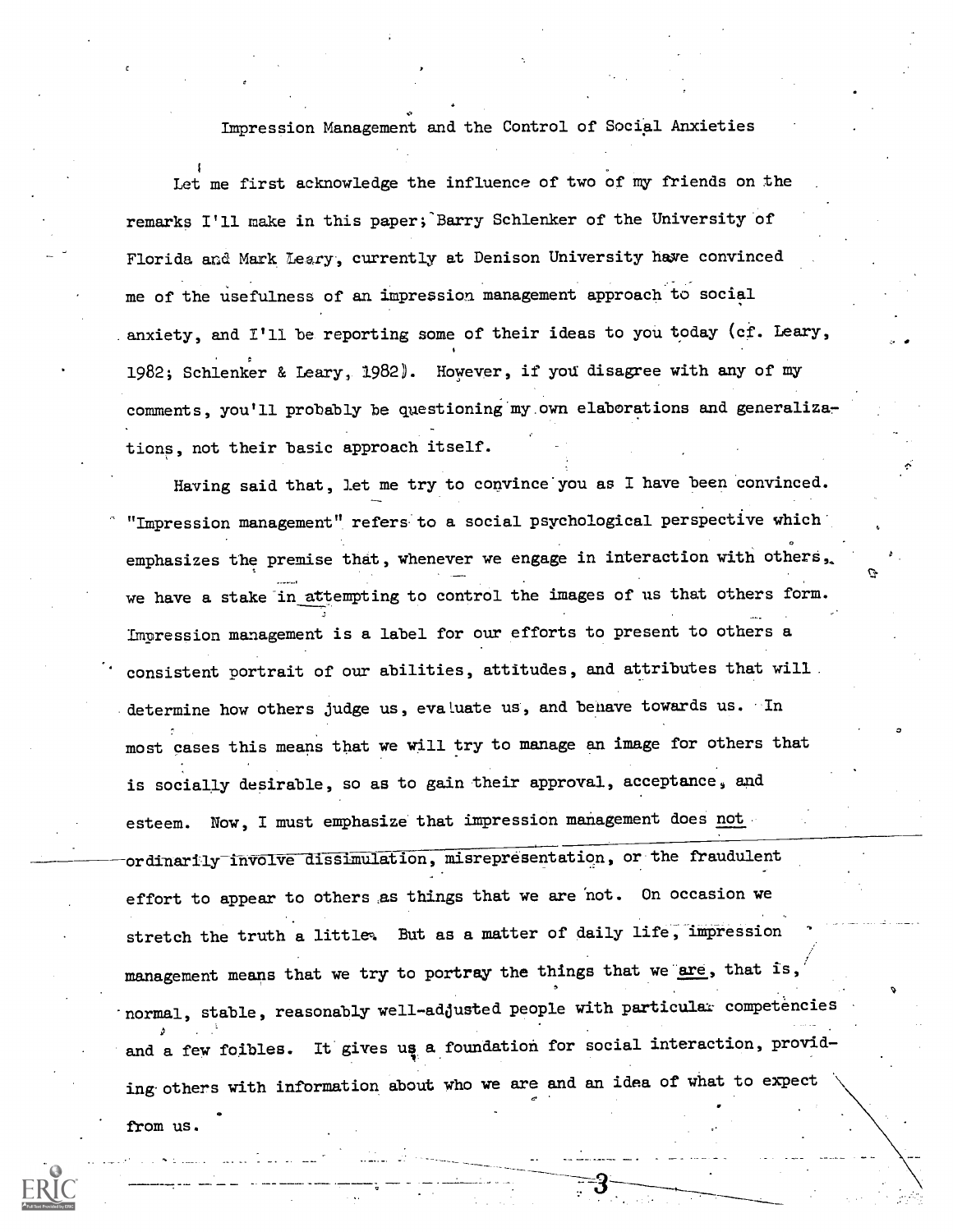Impression Management and the Control of Social Anxieties

Let me first acknowledge the influence of two of my friends on the remarks I'll make in this paper; Barry Schlenker of the University of Florida and Mark Leary, currently at Denison University have convinced me of the usefulness of an impression management approach to social anxiety, and I'll be reporting some of their ideas to you today (cf. Leary, 1982; Schlenker & Leary, 1982). However, if yoti disagree with any of my comments, you'll probably be questioning my own elaborations and generalizations, not their basic approach itself.

Having said that, let me try to convince you as I have been convinced. "Impression management" refers to a social psychological perspective which emphasizes the premise that, whenever we engage in interaction with others,. we have a stake in attempting to control the images of us that others form. Imoression management is a label for our efforts to present to others a consistent portrait of our abilities, attitudes, and attributes that will determine how others judge us, evaluate us, and behave towards us. In most cases this means that we will try to manage an image for others that is socially desirable, so as to gain their approval, acceptance, and esteem. Now, I must emphasize that impression management does not ordinarily involve dissimulation, misrepresentation, or the fraudulent effort to appear to others as things that we are not. On occasion we stretch the truth a little. But as a matter of daily life, impression management means that we try to portray the things that we are, that is, normal, stable, reasonably well-adjusted people with particular competencies and a few foibles. It gives us a foundation for social interaction, providing others with information about who we are and an idea of what to expect from us.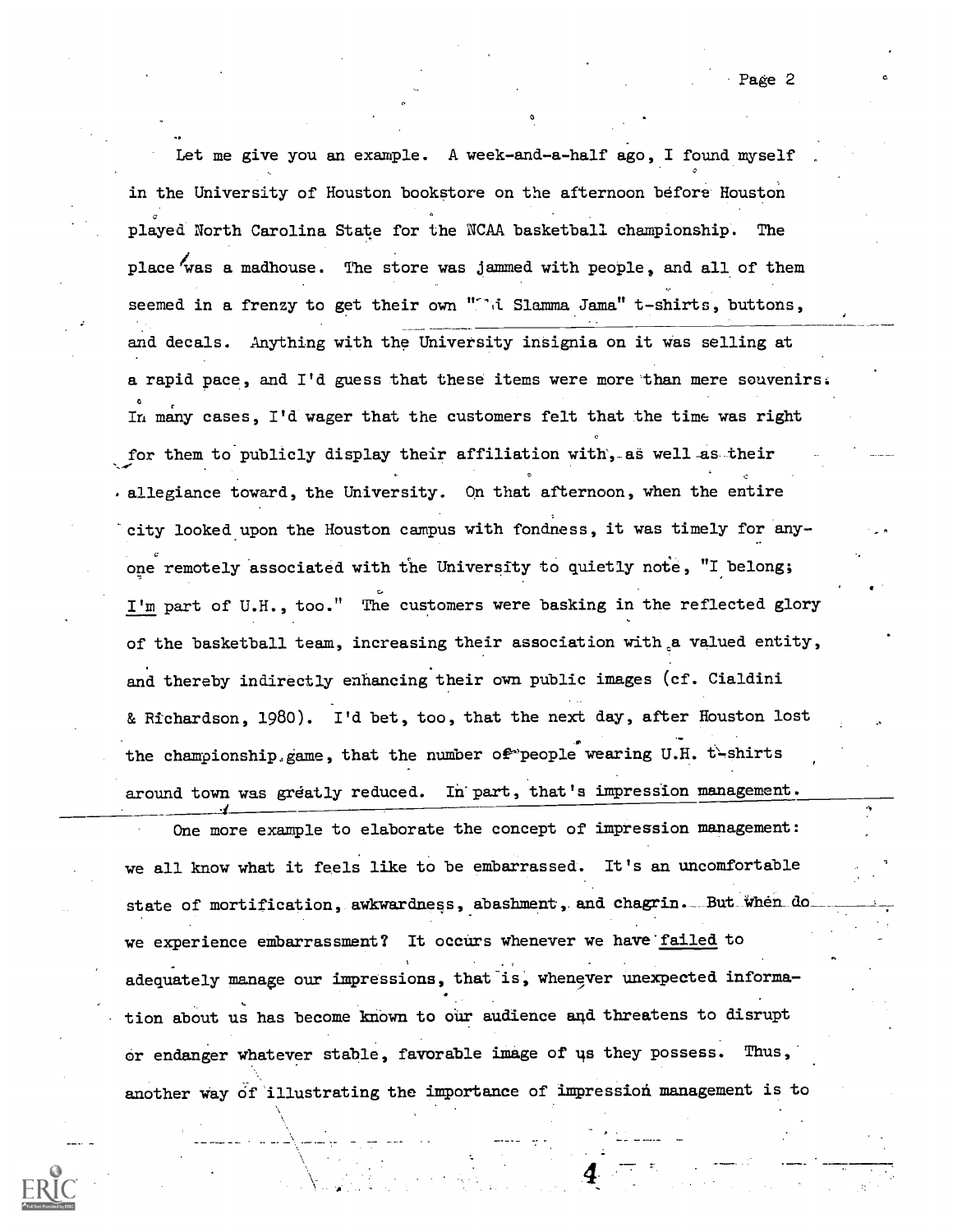Let me give you an example. A week-and-a-half ago, I found myself a in the University of Houston bookstore on the afternoon before Houston played North Carolina State for the NCAA basketball championship. The place was a madhouse. The store was jammed with people, and all of them seemed in a frenzy to get their own "Thi Slamma Jama" t-shirts, buttons, and decals. Anything with the University insignia on it was selling at a rapid pace, and I'd guess that these items were more than mere souvenirs: In many cases, I'd wager that the customers felt that the time was right for them to publicly display their affiliation with, as well-as their allegiance toward, the University. On that afternoon, when the entire city looked upon the Houston campus with fondness, it was timely for any- . one remotely associated with the University to quietly note, "I belong; I'm part of U.H., too." The customers were basking in the reflected glory of the basketball team, increasing their association with a valued entity, and thereby indirectly enhancing their own public images (cf. Cialdini & Richardson, 1980). I'd bet, too, that the next day, after Houston lost the championship game, that the number of people wearing U.H. t-shirts around town was greatly reduced. In part, that's impression management.

 $\mathfrak{o}$  and  $\mathfrak{o}$  and  $\mathfrak{o}$  and  $\mathfrak{o}$  and  $\mathfrak{o}$  and  $\mathfrak{o}$  and  $\mathfrak{o}$  and  $\mathfrak{o}$  and  $\mathfrak{o}$  and  $\mathfrak{o}$  and  $\mathfrak{o}$  and  $\mathfrak{o}$  and  $\mathfrak{o}$  and  $\mathfrak{o}$  and  $\mathfrak{o}$  and  $\mathfrak{o}$  and  $\mathfrak{o}$  and

One more example to elaborate the concept of impression management: we all know what it feels like to be embarrassed. It's an uncomfortable state of mortification, awkwardness, abashment, and chagrin. But when do we experience embarrassment? It occurs whenever we have failed to adequately manage our impressions, that is, whenever unexpected information about us has become known to our audience and threatens to disrupt or endanger whatever stable, favorable image of us they possess. Thus, another way of illustrating the importance of impression management is to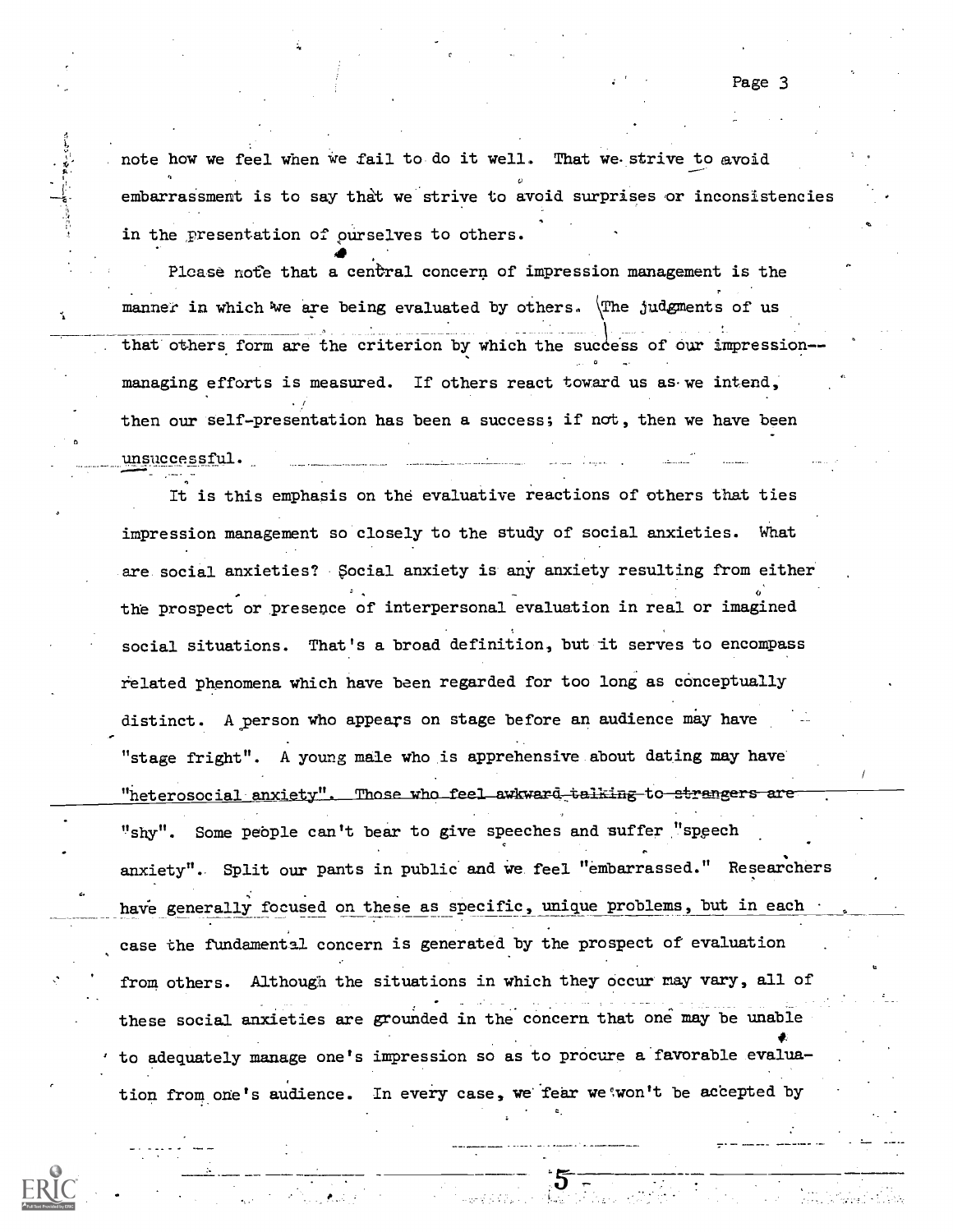$\bullet$  4.4  $\bullet$  4.4  $\bullet$ Please note that a central concern of impression management is the manner in which we are being evaluated by others.  $\Theta$  judgments of us that others form are the criterion by which the success of our impression-managing efforts is measured. If others react toward us as we intend, then our self-presentation has been a success; if not, then we have been unsuccessful.

It is this emphasis on the evaluative reactions of others that ties impression management so closely to the study of social anxieties. What are social anxieties? Social anxiety is any anxiety resulting from either the prospect or presence of interpersonal evaluation in real or imagined social situations. That's a broad definition, but it serves to encompass related phenomena which have been regarded for too long as conceptually distinct. A person who appears on stage before an audience may have "stage fright". A young male who is apprehensive about dating may have "heterosocial anxiety". Those who feel awkward talking to strangers are "shy". Some people can't bear to give speeches and suffer "spgech anxiety". Split our pants in public and We feel "embarrassed." Researchers have generally focused on these as specific, unique problems, but in each case the fundamental concern is generated by the prospect of evaluation from others. Although the situations in which they occur may vary, all of these social anxieties are grounded in the concern that one may be unable to adequately manage one's impression so as to procure a favorable evaluation from one's audience. In every case, we fear we won't be accepted by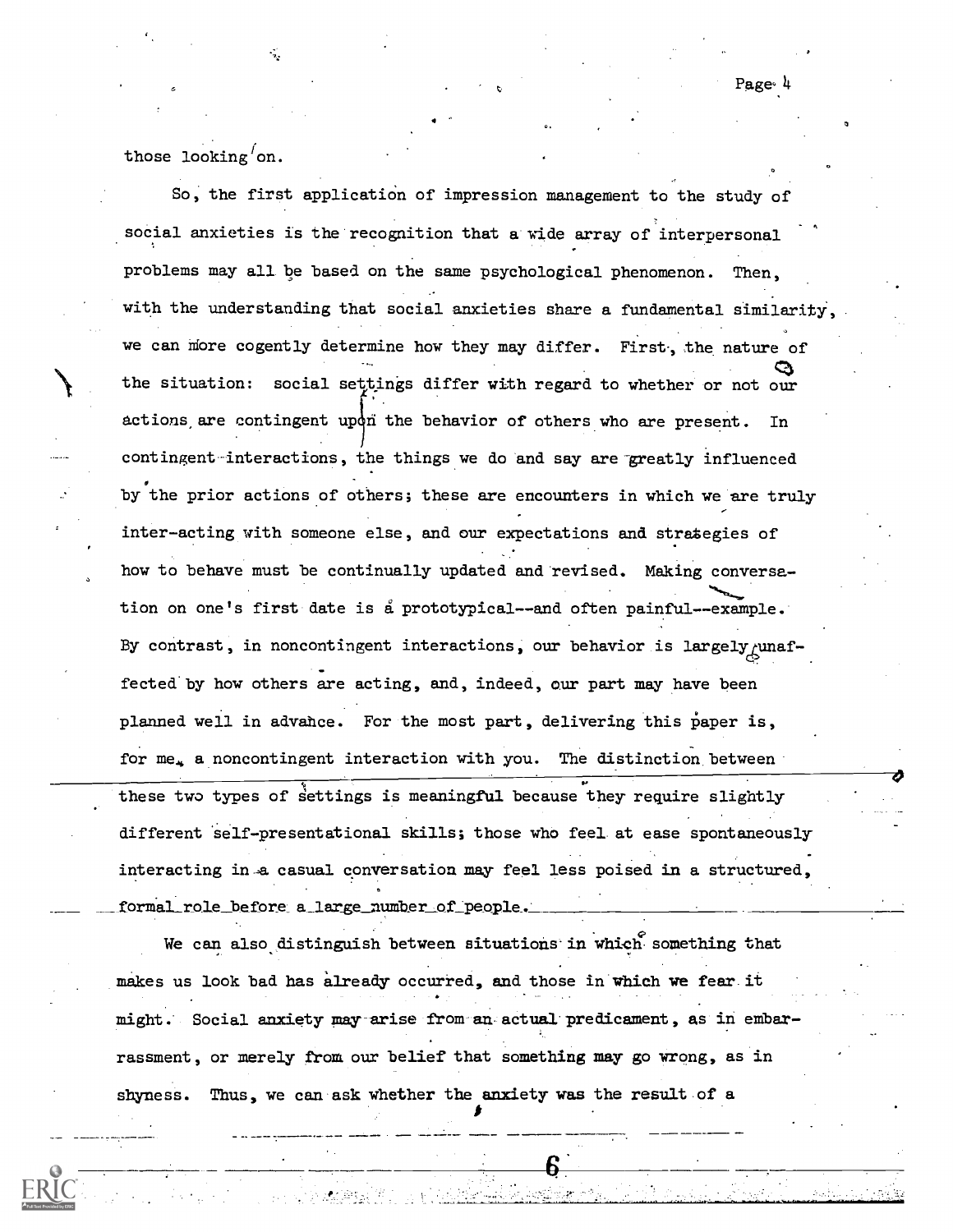Page<sup>.</sup> 4

those looking'on.

So, the first application of impression management to the study of social anxieties is the recognition that a wide array of interpersonal problems may all be based on the same psychological phenomenon. Then, with the understanding that social anxieties share a fundamental similarity we can more cogently determine how they may differ. First, the nature of the situation: social settings differ with regard to whether or not our actions are contingent upon the behavior of others who are present. In contingent-interactions, the things we do and say are greatly influenced by the prior actions of others; these are encounters in which we are truly inter-acting with someone else, and our expectations and strategies of how to behave must be continually updated and revised. Making conversation on one's first date is a prototypical--and often painful--example. By contrast, in noncontingent interactions, our behavior is largely  $\mu$ unaffected by how others are acting, and, indeed, our part may have been planned well in advance. For the most part, delivering this paper is, for me, a noncontingent interaction with you. The distinction between these two types of settings is meaningful because they require slightly different self-presentational skills; those who feel at ease spontaneously interacting in a casual conversation may feel less poised in a structured, formal\_role before a\_large\_number of people.

We can also distinguish between situations in which something that makes us look bad has already occurred, and those in which we fear it might. Social anxiety may arise from an- actual predicament, as in embarrassment, or merely from our belief that something may go wrong, as in shyness. Thus, we can ask whether the anxiety was the result of a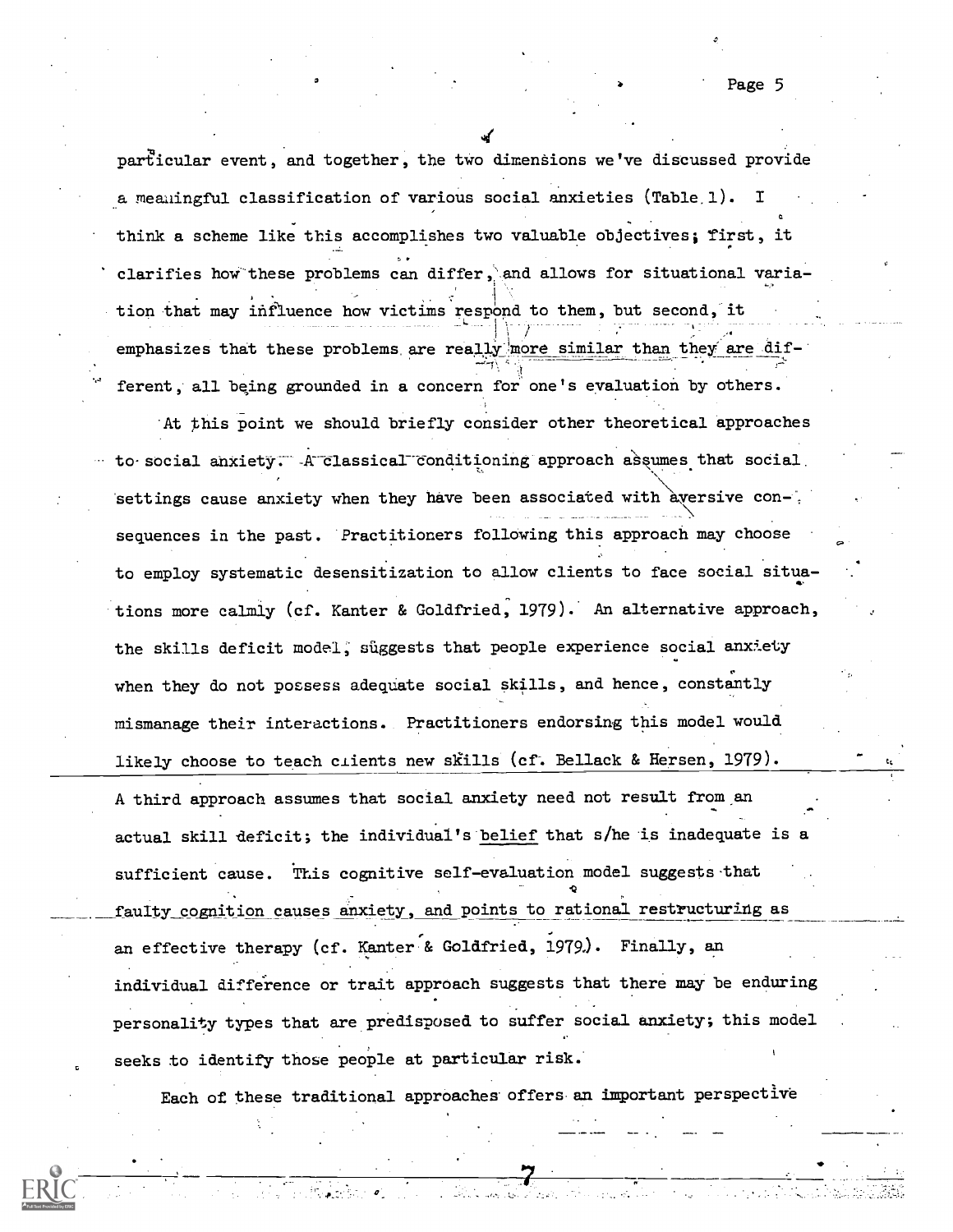$\mathfrak{S}$  and  $\mathfrak{S}$ 

particular event, and together, the two dimensions we've discussed provide a meaningful classification of various social anxieties (Table.l). I think a scheme like this accomplishes two valuable objectives; first, it clarifies how these problems can differ,'and allows for situational variation that may influence how victims respond to them, but second, it emphasizes that these problems are really more similar than they are different, all bging grounded in a concern for one's evaluation by others.

At this point we should briefly consider other theoretical approaches to social anxiety. A classical conditioning approach assumes that social settings cause anxiety when they have been associated with aversive con-, sequences in the past. Practitioners following this approach may choose to employ systematic desensitization to allow clients to face social situa- . tions more calmly (cf. Kanter & Goldfried, 1979). An alternative approach, the skills deficit model, suggests that people experience social anxiety when they do not possess adequate social skills, and hence, constantly mismanage their interactions. Practitioners endorsing this model would likely choose to teach clients new skills (cf. Bellack & Hersen, 1979).

A third approach assumes that social anxiety need not result from an actual skill deficit; the individual's belief that s/he is inadequate is a sufficient cause. This cognitive self-evaluation model suggests that faulty cognition causes anxiety, and points to rational restructuring as an effective therapy (cf. Kanter & Goldfried, 1979.). Finally, an individual difference or trait approach suggests that there may be enduring personality types that are predisposed to suffer social anxiety; this model seeks to identify those people at particular risk.

Each of these traditional approaches offers an important perspective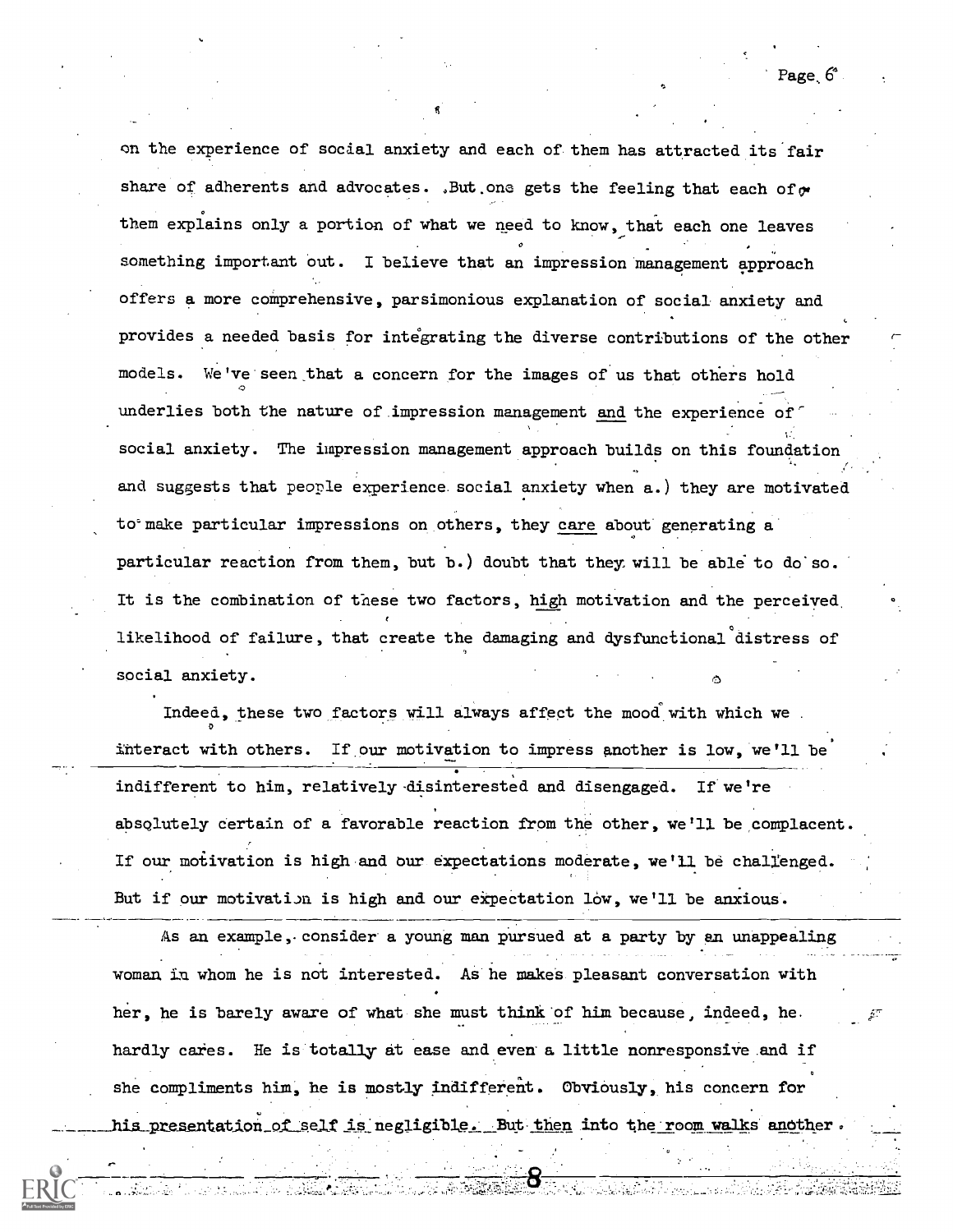on the experience of social anxiety and each of them has attracted its'fair share of adherents and advocates. .But.one gets the feeling that each of  $\sigma$ them explains only a portion of what we need to know, that each one leaves  $\mathfrak{o}$  and  $\mathfrak{o}$  and  $\mathfrak{o}$  and  $\mathfrak{o}$  and  $\mathfrak{o}$  and  $\mathfrak{o}$  and  $\mathfrak{o}$  and  $\mathfrak{o}$  and  $\mathfrak{o}$  and  $\mathfrak{o}$  and  $\mathfrak{o}$  and  $\mathfrak{o}$  and  $\mathfrak{o}$  and  $\mathfrak{o}$  and  $\mathfrak{o}$  and  $\mathfrak{o}$  and  $\mathfrak{o}$  and something important out. I believe that an impression management approach offers a more comprehensive, parsimonious explanation of social anxiety and provides a needed basis for integrating the diverse contributions of the other models. We've seen that a concern for the images of us that others hold underlies both the nature of.impression management and the experience of' social anxiety. The impression management approach builds on this foundation and suggests that people experience social anxiety when a.) they are motivated to'make particular impressions on others, they care about generating a particular reaction from them, but b.) doubt that they: will be able to do'so. It is the combination of these two factors, high motivation and the perceived, likelihood of failure, that create the damaging and dysfunctional distress of social anxiety.

Indeed, these two factors will always affect the mood with which we 0 interact with others. If our motivation to impress another is low, we'll be indifferent to him, relatively-disinterested and disengaged. If we're absolutely certain of a favorable reaction from the other, we'll be complacent. If our motivation is high and our expectations moderate, we'll be challenged. But if our motivation is high and our expectation low, we'll be anxious.

As an example, consider a young man pursued at a party by an unappealing woman in whom he is not interested. As he makes pleasant conversation with her, he is barely aware of what she must think of him because, indeed, he. hardly cares. He is totally at ease and even a little nonresponsive and if she compliments him, he is mostly indifferent. Obviously, his concern for his presentation of self is negligible. But then into the room walks another.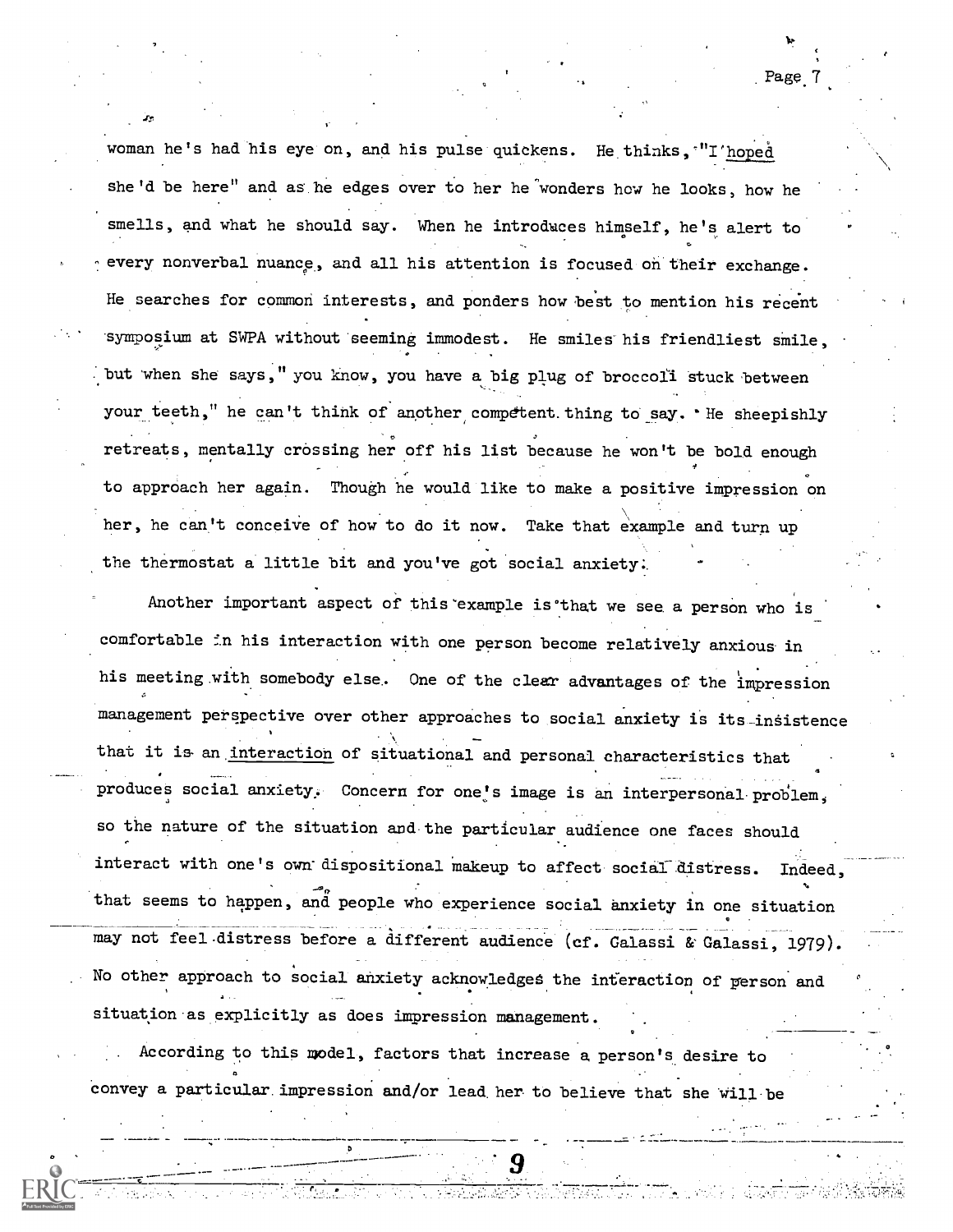woman he's had his eye on, and his pulse quickens. He thinks, "I'hoped she'd be here" and as he edges over to her he"wonders how he looks, how he smells, and what he should say. When he introduces himself, he's alert to every nonverbal nuance, and all his attention is focused on their exchange. He searches for common interests, and ponders how best to mention his recent symposium at SWPA without seeming immodest. He smiles his friendliest smile, but when she says," you know, you have a big plug of broccoli stuck between your teeth," he can't think of another competent thing to say. 'He sheepishly retreats, mentally crossing her off his list because he won't be bold enough to approach her again. Though he would like to make a positive impression on her, he can't conceive of how to do it now. Take that example and turn up the thermostat a little bit and you've got social anxiety;

Another important aspect of this example is that we see a person who is comfortable in his interaction with one person become relatively anxious in his meeting with somebody else. One of the clear advantages of the impression management perspective over other approaches to social anxiety is its insistence that it is an interaction of situational and personal characteristics that produces social anxiety. Concern for one's image is an interpersonal problem, so the nature of the situation and the particular audience one faces should interact with one's own dispositional makeup to affect social-distress. Indeed, that seems to happen, and people who experience social anxiety in one situation may not feel distress before a different audience (cf. Galassi & Galassi, 1979). No other approach to social anxiety acknowledges the interaction of person and situation as explicitly as does impression management.

According to this model, factors that increase a person's desire to convey a particular impression and/or lead her to believe that she will be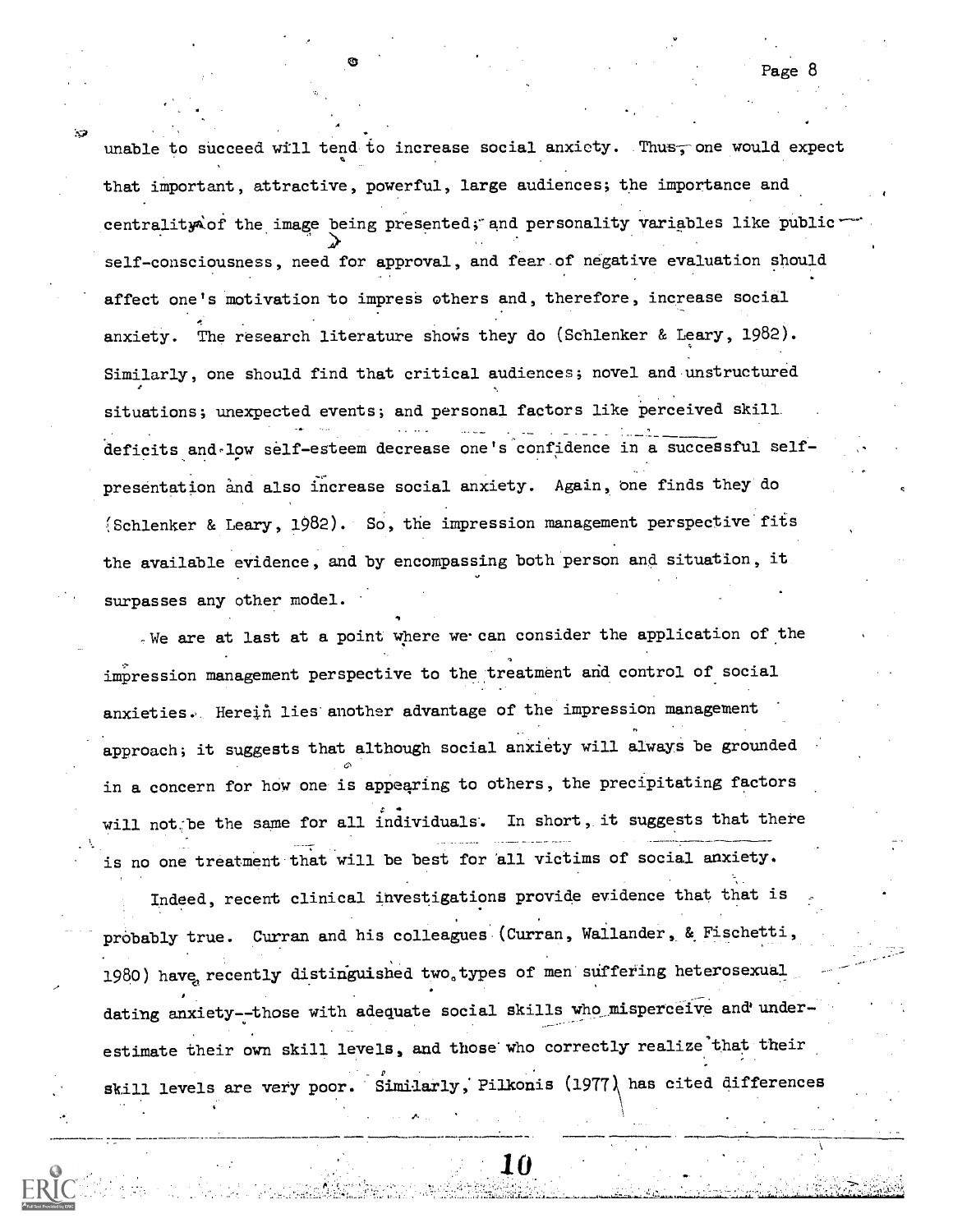unable to succeed will tend to increase social anxiety. Thus, one would expect that important, attractive, powerful, large audiences; the importance and centrality of the image being presented; and personality variables like public -self-consciousness, need for approval, and fear of negative evaluation should affect one's motivation to impress others and, therefore, increase social anxiety. The research literature shows they do (Schlenker & Leary, 1982). Similarly, one should find that critical audiences; novel and unstructured situations; unexpected events; and personal factors like perceived skill deficits and low self-esteem decrease one's confidence in a successful selfpresentation and also increase social anxiety. Again, one finds they do Schlenker & Leary, 1982). So, the impression management perspective fits the available evidence, and by encompassing both person and situation, it surpasses any other model.

. We are at last at a point where we can consider the application of the impression management perspective to the treatment and control of social anxieties. Herein lies another advantage of the impression management approach; it suggests that although social anxiety will always be grounded in a concern for how one is appearing to others, the precipitating factors will not<sub>i</sub>be the same for all individuals. In short, it suggests that there is no one treatment that will be best for all victims of social anxiety.

Indeed, recent clinical investigations provide evidence that that is probably true. Curran and his colleagues (Curran, Wallander, & Fischetti, 1980) have recently distinguished two.types of men suffering heterosexual dating anxiety--those with adequate social skills who misperceive and underestimate their own skill levels, and those who correctly realize'that their skill levels are very poor. Similarly, Pilkonis (1977) has cited differences

10

Page 8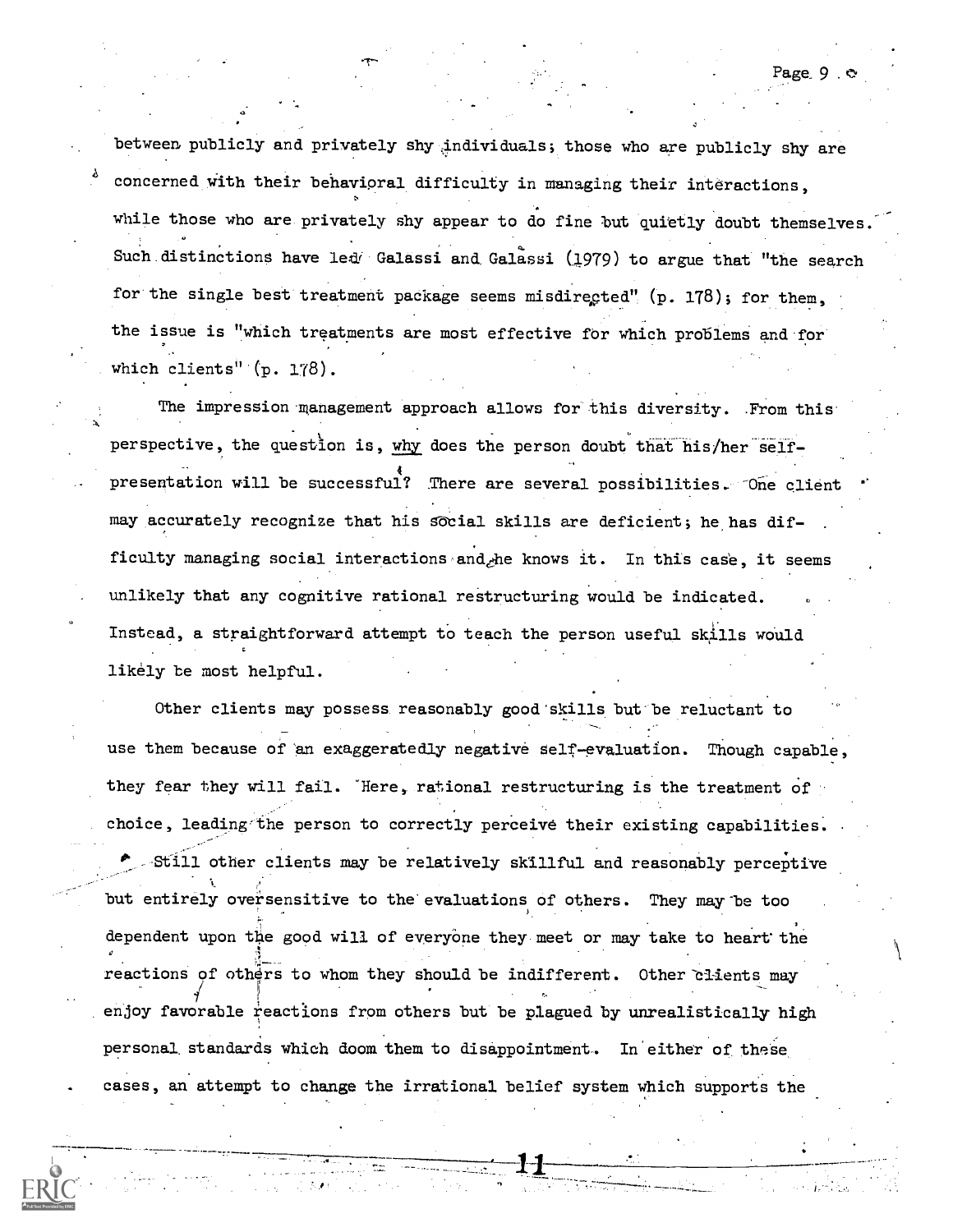between publicly and privately shy individuals; those who are publicly shy are concerned with their behavioral difficulty in managing their interactions, while those who are privately shy appear to do fine but quietly doubt themselves Such distinctions have lede Galassi and Galassi (1979) to argue that "the search for the single best treatment package seems misdirected" (p. 178); for them, the issue is "which treatments are most effective for which problems and for which clients"  $(p. 178)$ .

The impression management approach allows for this diversity. From this perspective, the question is, why does the person doubt that his/her selfpresentation will be successful? There are several possibilities. One client may accurately recognize that his social skills are deficient; he has difficulty managing social interactions and he knows it. In this case, it seems unlikely that any cognitive rational restructuring would be indicated. Instead, a straightforward attempt to teach the person useful skills would likely be most helpful.

Other clients may possess reasonably good skills but be reluctant to use them because of an exaggeratedly negative self-evaluation. Though capable, they fear they will fail. Here, rational restructuring is the treatment of choice, leading the person to correctly perceive their existing capabilities. Still other clients may be relatively skillful and reasonably perceptive but entirely oversensitive to the evaluations of others. They may be too dependent upon the good will of everyone they meet or may take to heart the reactions of others to whom they should be indifferent. Other clients may enjoy favorable reactions from others but be plagued by unrealistically high personal standards which doom. them to disappointment. In either of these cases, an attempt to change the irrational belief system which supports the

11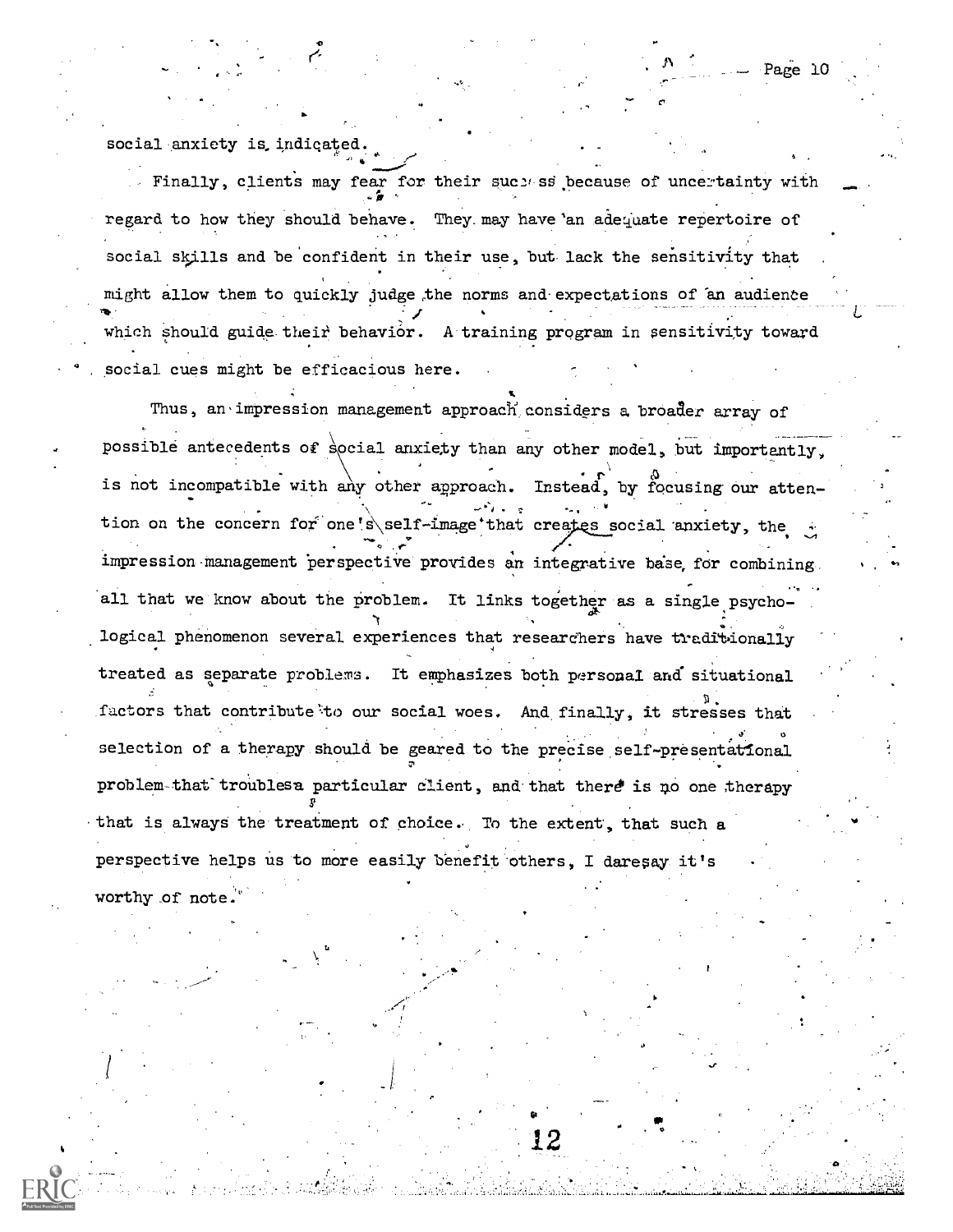Page 10

٠

 $\mathbf{v} = \mathbf{v}$ 

 $\mathbf{v}$ 

social anxiety is indicated

Finally, clients may fear for their success because of uncertainty with regard to how they should behave. They may have an adequate repertoire of social skills and be confident in their use, but lack the sensitivity that might allow them to quickly judge the norms and expectations of an audience  $\cdot$ which should guide their behavior. A training program in sensitivity toward social cues might be efficacious here.

Thus, an impression management approach considers a broader array of possible antecedents of social anxiety than any other model, but importantly, is not incompatible with any other approach. Instead, by focusing our attention on the concern for one's self-image that creates social anxiety, the  $\sim$   $\sim$   $\sim$ impression management perspective provides an integrative base for combining. The state all that we know about the problem. It links together as a single psychological phenomenon several experiences that researchers have traditionally treated as separate problems. It emphasizes both personal and situational factors that contribute to our social woes. And finally, it stresses that ,, 0 selection of a therapy should be geared to the precise self-presentational problem-that troublesa particular client, and that there is no one therapy that is always the treatment of choice. To the extent, that such a perspective helps us to more easily benefit others, I daresay it's worthy of note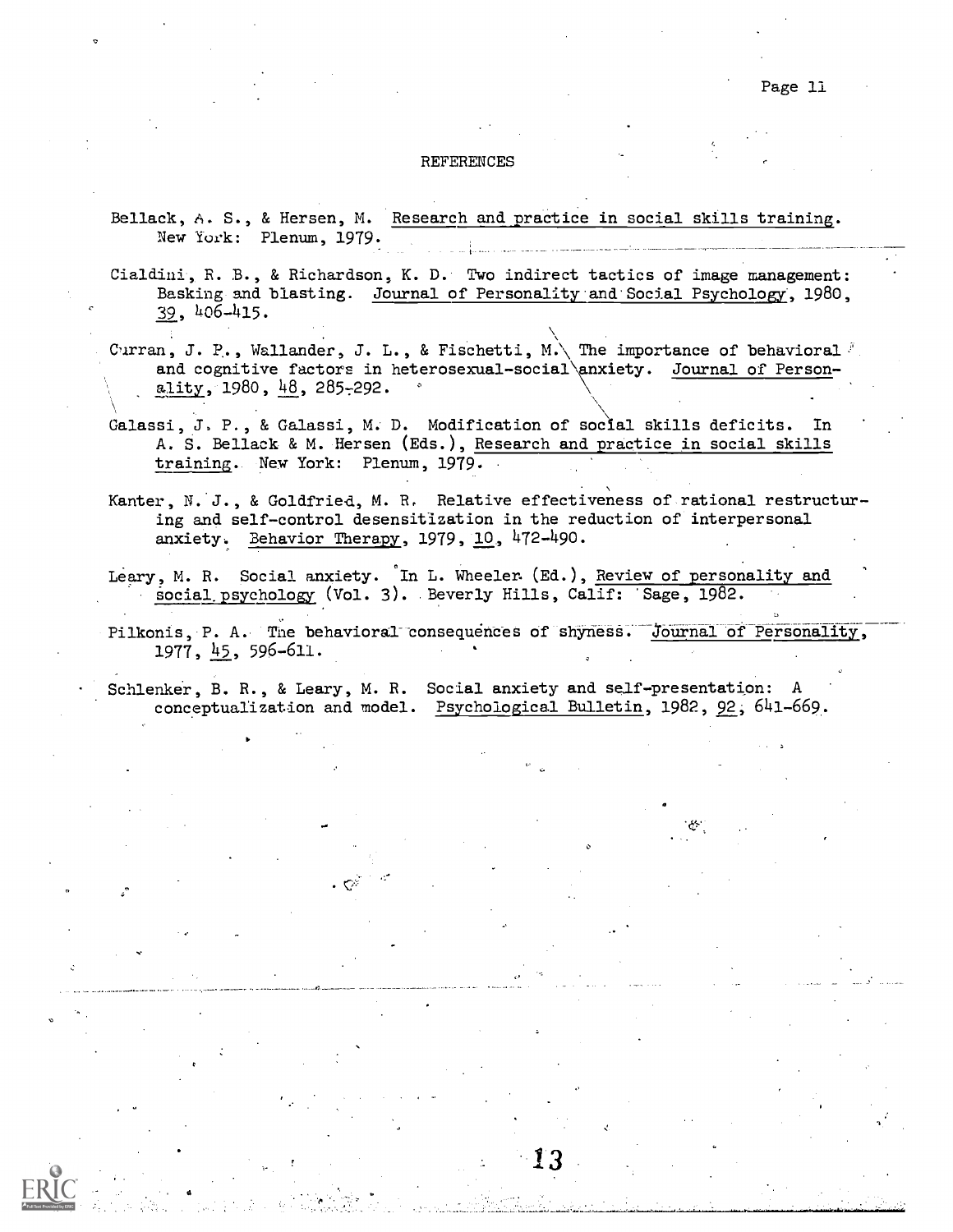#### REFERENCES

- Bellack, A. S., & Hersen, M. Research and practice in social skills training. New York: Plenum, 1979.
- Cialdini, R. B., & Richardson, K. D. Two indirect tactics of image management: Basking and blasting. Journal of Personality and'Social Psychology, 1980, 39, 406-415.
- Curran, J. P., Wallander, J. L., & Fischetti, M. \The importance of behavioral  $\ell$ and cognitive factors in heterosexual-social\amxiety. Journal of Person ality,  $1980, 48, 285 - 292$ .
- Galassi, J. P., & Galassi, M. D. Modification of social skills deficits. In A. S. Bellack & M. Hersen (Eds.), Research and practice in social skills training. New York: Plenum, 1979.
- Kanter, N. J., & Goldfried, M. B. Relative effectiveness of rational restrueturing and self-control desensitization in the reduction of interpersonal anxiety. Behavior Therapy, 1979, 10, 472-490.
- Leary, M. R. Social anxiety. In L. Wheelen (Ed.), Review of personality and Social.psychology (Vol. 3). Beverly Hills, Calif: 'Sage, 1982.
- Pilkonis, P. A. The behavioral consequences of shyness. Journal of Personality, 1977, 45, 596-611.

13

Schlenker, B. R., & Leary, M. R. Social anxiety and self-presentation: A conceptualization and model. Psychological Bulletin, 1982, 92, 641-669.

. က

\_

r.